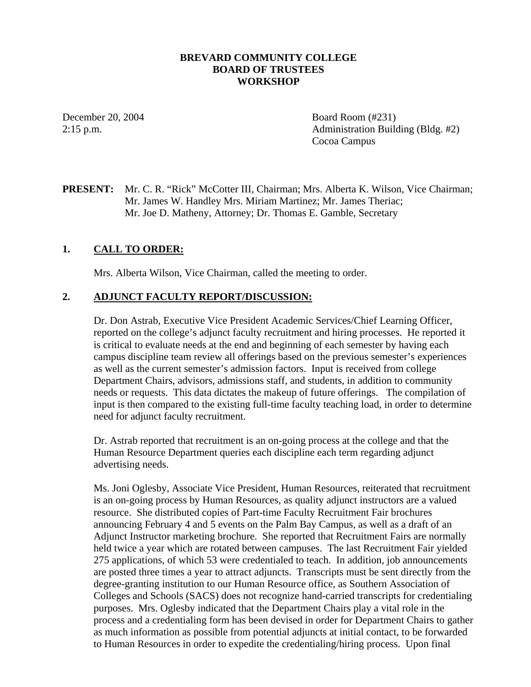### **BREVARD COMMUNITY COLLEGE BOARD OF TRUSTEES WORKSHOP**

December 20, 2004 Board Room (#231) 2:15 p.m. Administration Building (Bldg. #2) Cocoa Campus

**PRESENT:** Mr. C. R. "Rick" McCotter III, Chairman; Mrs. Alberta K. Wilson, Vice Chairman; Mr. James W. Handley Mrs. Miriam Martinez; Mr. James Theriac; Mr. Joe D. Matheny, Attorney; Dr. Thomas E. Gamble, Secretary

### **1. CALL TO ORDER:**

Mrs. Alberta Wilson, Vice Chairman, called the meeting to order.

### **2. ADJUNCT FACULTY REPORT/DISCUSSION:**

Dr. Don Astrab, Executive Vice President Academic Services/Chief Learning Officer, reported on the college's adjunct faculty recruitment and hiring processes. He reported it is critical to evaluate needs at the end and beginning of each semester by having each campus discipline team review all offerings based on the previous semester's experiences as well as the current semester's admission factors. Input is received from college Department Chairs, advisors, admissions staff, and students, in addition to community needs or requests. This data dictates the makeup of future offerings. The compilation of input is then compared to the existing full-time faculty teaching load, in order to determine need for adjunct faculty recruitment.

Dr. Astrab reported that recruitment is an on-going process at the college and that the Human Resource Department queries each discipline each term regarding adjunct advertising needs.

Ms. Joni Oglesby, Associate Vice President, Human Resources, reiterated that recruitment is an on-going process by Human Resources, as quality adjunct instructors are a valued resource. She distributed copies of Part-time Faculty Recruitment Fair brochures announcing February 4 and 5 events on the Palm Bay Campus, as well as a draft of an Adjunct Instructor marketing brochure. She reported that Recruitment Fairs are normally held twice a year which are rotated between campuses. The last Recruitment Fair yielded 275 applications, of which 53 were credentialed to teach. In addition, job announcements are posted three times a year to attract adjuncts. Transcripts must be sent directly from the degree-granting institution to our Human Resource office, as Southern Association of Colleges and Schools (SACS) does not recognize hand-carried transcripts for credentialing purposes. Mrs. Oglesby indicated that the Department Chairs play a vital role in the process and a credentialing form has been devised in order for Department Chairs to gather as much information as possible from potential adjuncts at initial contact, to be forwarded to Human Resources in order to expedite the credentialing/hiring process. Upon final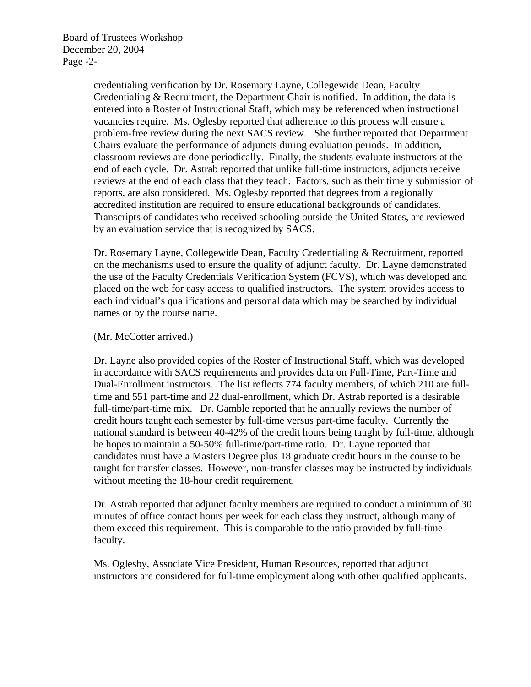Board of Trustees Workshop December 20, 2004 Page -2-

> credentialing verification by Dr. Rosemary Layne, Collegewide Dean, Faculty Credentialing & Recruitment, the Department Chair is notified. In addition, the data is entered into a Roster of Instructional Staff, which may be referenced when instructional vacancies require. Ms. Oglesby reported that adherence to this process will ensure a problem-free review during the next SACS review. She further reported that Department Chairs evaluate the performance of adjuncts during evaluation periods. In addition, classroom reviews are done periodically. Finally, the students evaluate instructors at the end of each cycle. Dr. Astrab reported that unlike full-time instructors, adjuncts receive reviews at the end of each class that they teach. Factors, such as their timely submission of reports, are also considered. Ms. Oglesby reported that degrees from a regionally accredited institution are required to ensure educational backgrounds of candidates. Transcripts of candidates who received schooling outside the United States, are reviewed by an evaluation service that is recognized by SACS.

Dr. Rosemary Layne, Collegewide Dean, Faculty Credentialing & Recruitment, reported on the mechanisms used to ensure the quality of adjunct faculty. Dr. Layne demonstrated the use of the Faculty Credentials Verification System (FCVS), which was developed and placed on the web for easy access to qualified instructors. The system provides access to each individual's qualifications and personal data which may be searched by individual names or by the course name.

#### (Mr. McCotter arrived.)

Dr. Layne also provided copies of the Roster of Instructional Staff, which was developed in accordance with SACS requirements and provides data on Full-Time, Part-Time and Dual-Enrollment instructors. The list reflects 774 faculty members, of which 210 are fulltime and 551 part-time and 22 dual-enrollment, which Dr. Astrab reported is a desirable full-time/part-time mix. Dr. Gamble reported that he annually reviews the number of credit hours taught each semester by full-time versus part-time faculty. Currently the national standard is between 40-42% of the credit hours being taught by full-time, although he hopes to maintain a 50-50% full-time/part-time ratio. Dr. Layne reported that candidates must have a Masters Degree plus 18 graduate credit hours in the course to be taught for transfer classes. However, non-transfer classes may be instructed by individuals without meeting the 18-hour credit requirement.

Dr. Astrab reported that adjunct faculty members are required to conduct a minimum of 30 minutes of office contact hours per week for each class they instruct, although many of them exceed this requirement. This is comparable to the ratio provided by full-time faculty.

Ms. Oglesby, Associate Vice President, Human Resources, reported that adjunct instructors are considered for full-time employment along with other qualified applicants.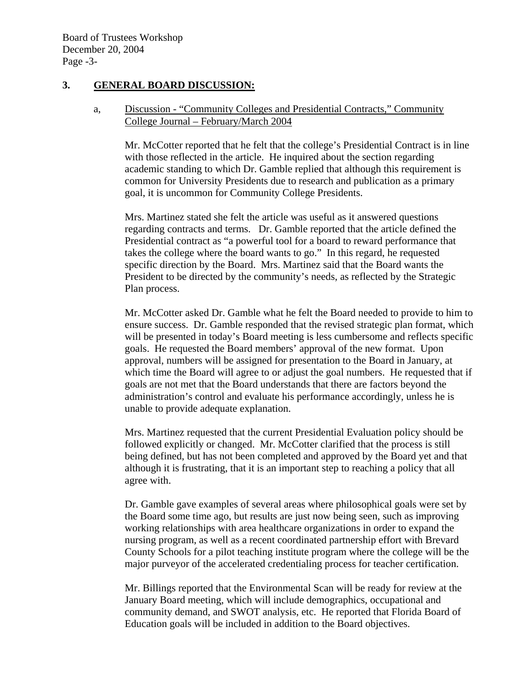### **3. GENERAL BOARD DISCUSSION:**

## a, Discussion - "Community Colleges and Presidential Contracts," Community College Journal – February/March 2004

Mr. McCotter reported that he felt that the college's Presidential Contract is in line with those reflected in the article. He inquired about the section regarding academic standing to which Dr. Gamble replied that although this requirement is common for University Presidents due to research and publication as a primary goal, it is uncommon for Community College Presidents.

 Mrs. Martinez stated she felt the article was useful as it answered questions regarding contracts and terms. Dr. Gamble reported that the article defined the Presidential contract as "a powerful tool for a board to reward performance that takes the college where the board wants to go." In this regard, he requested specific direction by the Board. Mrs. Martinez said that the Board wants the President to be directed by the community's needs, as reflected by the Strategic Plan process.

Mr. McCotter asked Dr. Gamble what he felt the Board needed to provide to him to ensure success. Dr. Gamble responded that the revised strategic plan format, which will be presented in today's Board meeting is less cumbersome and reflects specific goals. He requested the Board members' approval of the new format. Upon approval, numbers will be assigned for presentation to the Board in January, at which time the Board will agree to or adjust the goal numbers. He requested that if goals are not met that the Board understands that there are factors beyond the administration's control and evaluate his performance accordingly, unless he is unable to provide adequate explanation.

Mrs. Martinez requested that the current Presidential Evaluation policy should be followed explicitly or changed. Mr. McCotter clarified that the process is still being defined, but has not been completed and approved by the Board yet and that although it is frustrating, that it is an important step to reaching a policy that all agree with.

 Dr. Gamble gave examples of several areas where philosophical goals were set by the Board some time ago, but results are just now being seen, such as improving working relationships with area healthcare organizations in order to expand the nursing program, as well as a recent coordinated partnership effort with Brevard County Schools for a pilot teaching institute program where the college will be the major purveyor of the accelerated credentialing process for teacher certification.

 Mr. Billings reported that the Environmental Scan will be ready for review at the January Board meeting, which will include demographics, occupational and community demand, and SWOT analysis, etc. He reported that Florida Board of Education goals will be included in addition to the Board objectives.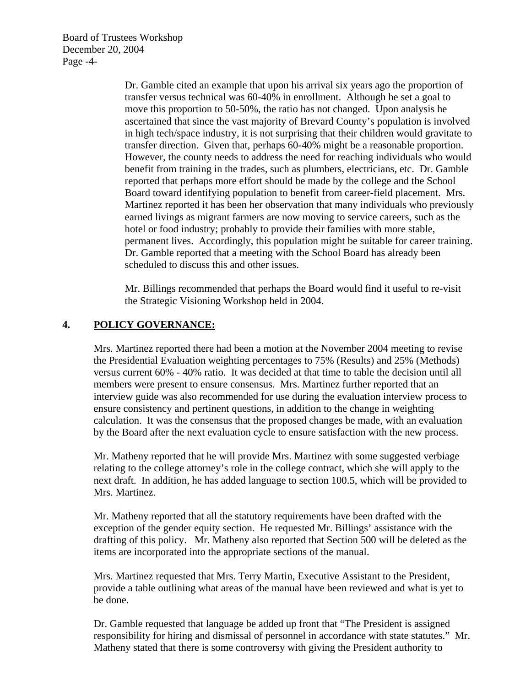Board of Trustees Workshop December 20, 2004 Page -4-

> Dr. Gamble cited an example that upon his arrival six years ago the proportion of transfer versus technical was 60-40% in enrollment. Although he set a goal to move this proportion to 50-50%, the ratio has not changed. Upon analysis he ascertained that since the vast majority of Brevard County's population is involved in high tech/space industry, it is not surprising that their children would gravitate to transfer direction. Given that, perhaps 60-40% might be a reasonable proportion. However, the county needs to address the need for reaching individuals who would benefit from training in the trades, such as plumbers, electricians, etc. Dr. Gamble reported that perhaps more effort should be made by the college and the School Board toward identifying population to benefit from career-field placement. Mrs. Martinez reported it has been her observation that many individuals who previously earned livings as migrant farmers are now moving to service careers, such as the hotel or food industry; probably to provide their families with more stable, permanent lives. Accordingly, this population might be suitable for career training. Dr. Gamble reported that a meeting with the School Board has already been scheduled to discuss this and other issues.

 Mr. Billings recommended that perhaps the Board would find it useful to re-visit the Strategic Visioning Workshop held in 2004.

# **4. POLICY GOVERNANCE:**

Mrs. Martinez reported there had been a motion at the November 2004 meeting to revise the Presidential Evaluation weighting percentages to 75% (Results) and 25% (Methods) versus current 60% - 40% ratio. It was decided at that time to table the decision until all members were present to ensure consensus. Mrs. Martinez further reported that an interview guide was also recommended for use during the evaluation interview process to ensure consistency and pertinent questions, in addition to the change in weighting calculation. It was the consensus that the proposed changes be made, with an evaluation by the Board after the next evaluation cycle to ensure satisfaction with the new process.

Mr. Matheny reported that he will provide Mrs. Martinez with some suggested verbiage relating to the college attorney's role in the college contract, which she will apply to the next draft. In addition, he has added language to section 100.5, which will be provided to Mrs. Martinez.

Mr. Matheny reported that all the statutory requirements have been drafted with the exception of the gender equity section. He requested Mr. Billings' assistance with the drafting of this policy. Mr. Matheny also reported that Section 500 will be deleted as the items are incorporated into the appropriate sections of the manual.

Mrs. Martinez requested that Mrs. Terry Martin, Executive Assistant to the President, provide a table outlining what areas of the manual have been reviewed and what is yet to be done.

Dr. Gamble requested that language be added up front that "The President is assigned responsibility for hiring and dismissal of personnel in accordance with state statutes." Mr. Matheny stated that there is some controversy with giving the President authority to